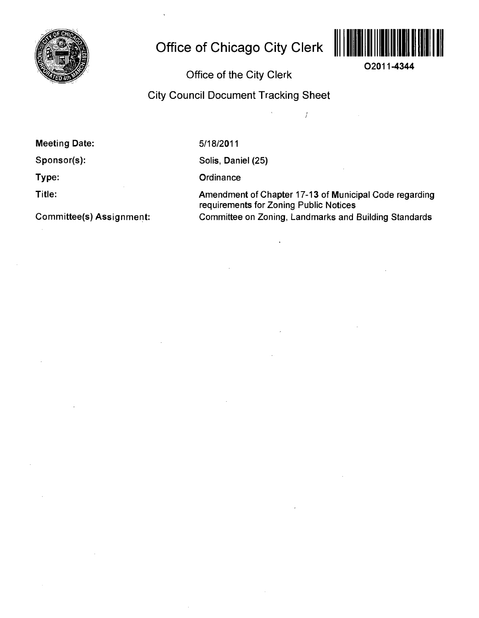

# **Office of Chicago City Clerk**



**O2011-4344** 

**Office of the City Clerk** 

**City Council Document Tracking Sheet** 

 $\hat{\mathbf{v}}$ 

**Meeting Date:** 

**Sponsor(s):** 

**Type:** 

**Title:** 

**Committee(s) Assignment:** 

5/18/2011

Solis, Daniel (25)

**Ordinance** 

Amendment of Chapter 17-13 of Municipal Code regarding requirements for Zoning Public Notices Committee on Zoning, Landmarks and Building Standards

 $\overline{1}$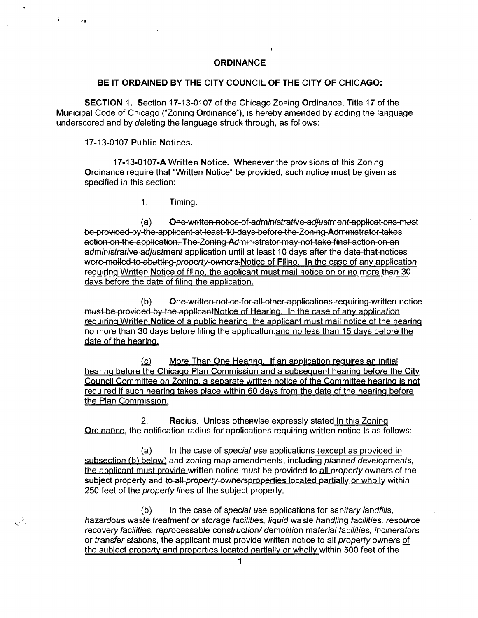### **ORDINANCE**

#### **BE IT ORDAINED BY THE CITY COUNCIL OF THE CITY OF CHICAGO:**

SECTION 1. Section 17-13-0107 of the Chicago Zoning Ordinance, Title 17 of the Municipal Code of Chicago ("Zoning Ordinance"), is hereby amended by adding the language underscored and by deleting the language struck through, as follows:

**17-13-0107 Public Notices.** 

 $\sim$   $^{-2}$ 

17-13-0107-A Written Notice. Whenever the provisions of this Zoning Ordinance require that "Written Notice" be provided, such notice must be given as specified in this section:

1. Timing.

(a) One written notice of administrative adjustment applications must be provided by the applicant at least 10 days before the Zoning Administrator takes action on the application. The Zoning Administrator may not take final action on an administrative adjustment application until at least 10 days after the date that notices were-mailed-to-abutting-property-owners-Notice of Filino. In the case of any application requirlng Written Notice of filino, the agolicant must mail notice on or no more than 30 days before the date of filing the application.

(b) One written notice for all other applications requiring written notice must-be-provided-by-the-applicantNotice of Hearlno. In the case of any application requiring Written Notice of a public hearing, the applicant must mail notice of the hearing no more than 30 days before-filing-the-application-and no less than 15 days before the date of the hearlng.

(c) More Than One Hearing. If an application requires an initial hearing before the Chicago Plan Commission and a subsequent hearing before the City Council Committee on Zoning, a separate written notice of the Committee hearing is not required If such hearing takes place within 60 davs from the date of the hearing before the Plan Commission.

2. Radius. Unless othenwlse expressly stated In this Zoning Ordinance, the notification radius for applications requiring written notice Is as follows:

(a) In the case of special use applications (except as provided in subsection (b) below) and zoning map amendments, including planned developments, the applicant must provide written notice must-be-provided-to all property owners of the subject property and to-all-property-ownersproperties located partially or wholly within 250 feet of the *property lines* of the subject property.

(b) In the case of special use applications for sanitary landfills, hazardous waste treatment or storage facilities, liquid waste handling facilities, resource recovery facilities, reprocessable construction/ demolition material facilities, incinerators or transfer stations, the applicant must provide written notice to all property owners of the sublect grogerty and properties located oartlally or wholly within 500 feet of the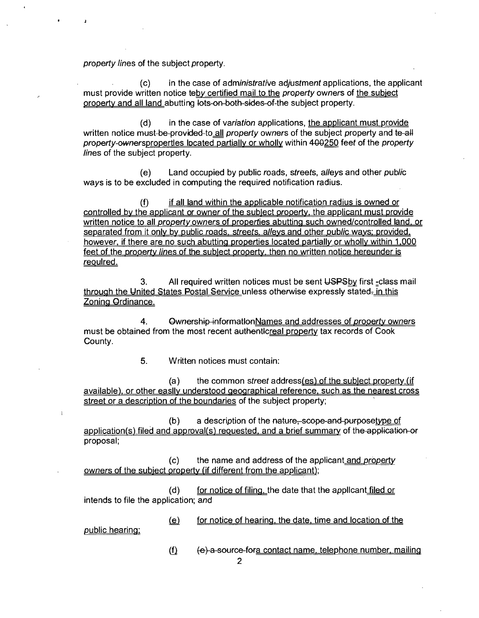property lines of the subject property.

(c) In the case of administrative adjustment applications, the applicant must provide written notice teby certified mail to the property owners of the subject orooertv and all land abutting lots on both sides of the subject property.

(d) in the case of variation applications, the applicant must provide written notice must-be-provided-to all property owners of the subject property and te-all property-ownerspropertles located partially or wholly within 400250 feet of the property lines of the subject property.

(e) Land occupied by public roads, streets, alleys and other public ways is to be excluded in computing the required notification radius.

 $(f)$  if all land within the applicable notification radius is owned or controlled bv the applicant or owner of the sublect orooertv, the applicant must provide written notice to all property owners of properties abutting such owned/controlled land, or separated from it only by public roads, streets, alleys and other public ways; provided, however, if there are no such abutting properties located partially or wholly within 1,000 feet of the property lines of the sublect oroperty, then no written notice hereunder is reoulred.

3. All required written notices must be sent USPSby first -class mail through the United States Postal Service unless otherwise expressly stated- in this Zoning Ordinance.

4. Ownership informationNames and addresses of property owners must be obtained from the most recent authentlcreal property tax records of Cook County.

5. Written notices must contain:

(a) the common street address(es) of the sublect property (if available), or other easllv understood geographical reference, such as the nearest cross street or a description of the boundaries of the subject property;

 $(b)$  a description of the nature, scope-and-purposetype of  $application(s)$  filed and approval(s) requested, and a brief summary of the application or proposal;

(c) the name and address of the applicant and property owners of the subiect oroperty (if different from the applicant);

 $(d)$  for notice of filing, the date that the applicant filed or intends to file the application; and

public hearing;

 $\mathbf{I}$ 

 $(e)$  for notice of hearing, the date, time and location of the

 $(f)$  (e) a source-fora contact name, telephone number, mailing

2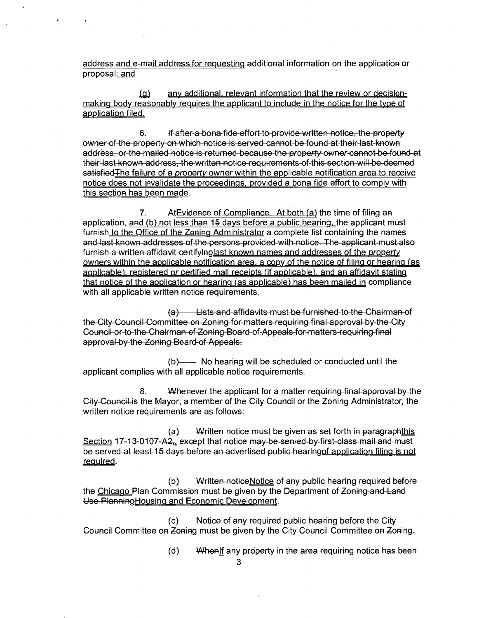address and e-mail address for reouesting additional Information on the application or proposal; and

(g) any additional, relevant information that the review or decisionmaking body reasonably requires the applicant to include in the notice for the type of application filed.

6. if-after-a-bona-fide-effort-to-provide-written notice, the property owner of the property on which notice Is served cannot be found at their last known address, or the mailed notice is returned because the property owner cannot be found at their last known address, the written notice requirements of this section will be deemed satisfied The failure of a property owner within the applicable notification area to receive notice does not invalidate the proceedings, provided a bona fide effort to compiv with this section has been made.

7. At Evidence of Compliance. At both (a) the time of filing an application, and (b) not less than 15 days before a public hearing, the applicant must furnish to the Office of the Zoning Administrator a complete list containing the names and last known addresses of the persons provided with notice. The applicant must also furnish a written affidavit-certifylnolast known names and addresses of the property owners within the applicable notification area, a copy of the notice of filing or hearing (as applicable), registered or certified mall receipts (if applicable), and an affidavit stating that notice of the application or hearing (as applicable) has been mailed in compliance with all applicable written notice requirements.

 $(a)$  Lists and affidavits must be furnished to the Chairman of the City Council Committee on Zoning for matters requiring final approval by the City Council or to the Chairman of Zoning Board of Appeals for matters requiring final approval by the Zoning Board of Appeals.

(b) No hearing will be scheduled or conducted until the applicant complies with all applicable notice requirements.

8. Whenever the applicant for a matter requiring final approval by the City Council is the Mayor, a member of the City Council or the Zoning Administrator, the written notice requirements are as follows:

(a) Written notice must be given as set forth in paragraphthis Section 17-13-0107-A $2_{7+}$  except that notice may-be-sen/ed-by-first-class-mail and must be served at least 15 days before an advertised public hearlnoof application filing is not regulred.

(b) Written notlceNotlce of any public hearing required before the Chicago Plan Commission must be given by the Department of Zoning and Land Use PlanninoHousing and Economic Development.

(c) Notice of any required public hearing before the City Council Committee on Zoning must be given by the City Council Committee on Zoning.

- (d) When if any property in the area requiring notice has been
	- 3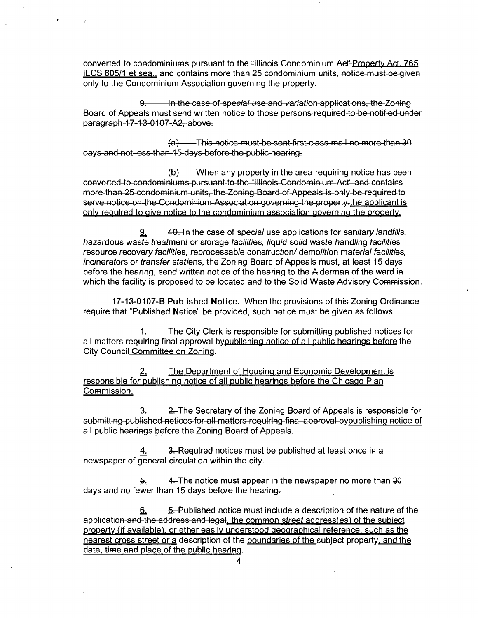converted to condominiums pursuant to the "illinois Condominium Aet"Prooerty Act. 765 ILCS 605/1 et sea., and contains more than 25 condominium units, notice-must-be-given only to the Condominium Association governing the property.

in the case of special use and variation applications, the Zoning Board of Appeals must send written notice to those persons required to be notified under paragraph 17-13 0107-A2, above.

{a) This notice must be sent first class mall no more than 30 days and not less than 15 days before the public hearing.

(b) When any property in the area requiring notice has been converted to condominiums pursuant to the "Illinois Condominium Act" and contains more than 25 condominium units, the Zoning Board of Appeals is only be required to serve notice on the Condominium Association governing the property-the applicant is only required to give notice to the condominium association governing the erooerty.

40. In the case of special use applications for sanitary landfills, <u>១.</u> hazardous waste treatment or storage facilities, liquid solid-waste handling facilities, resource recovery facilities, reprocessable construction/ demolition material facilities, incinerators or transfer stations, the Zoning Board of Appeals must, at least 15 days before the hearing, send written notice of the hearing to the Alderman of the ward in which the facility is proposed to be located and to the Solid Waste Advisory Commission.

17-13-0107-B Published Notice. When the provisions of this Zoning Ordinance require that "Published Notice" be provided, such notice must be given as follows:

1. The City Clerk is responsible for submitting published notices for all matters-reoulrlng-final approval byoublishing notice of all public hearings before the City Council Committee on Zoning.

2. The Department of Housing and Economic Development is responsible for publishing notice of all public hearings before the Chicago Plan Commission.

 $3.2$  2. The Secretary of the Zoning Board of Appeals is responsible for submitting published notices for all matters reoulring final approval byoublishino notice of all public hearings before the Zoning Board of Appeals.

 $4.$  3.-Required notices must be published at least once in a newspaper of general circulation within the city.

 $\frac{5}{2}$  4. The notice must appear in the newspaper no more than 30 days and no fewer than 15 days before the hearing-

5. Published notice must include a description of the nature of the <u>6.</u> application and the address and legal, the common street address(es) of the subject property (if available), or other easlly understood geographical reference, such as the nearest cross street or a description of the boundaries of the subject property, and the date, time and place of the public hearing.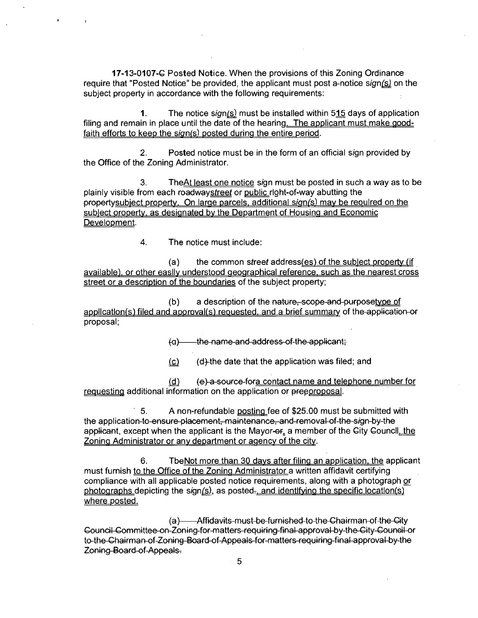17-13-0107-C Posted Notice. When the provisions of this Zoning Ordinance require that "Posted Notice" be provided, the applicant must post a-notice sign( $s$ ) on the subject property in accordance with the following requirements:

1. The notice  $sign(s)$  must be installed within 515 days of application filing and remain in place until the date of the hearing. The applicant must make goodfaith efforts to keep the sign(s) posted during the entire period.

2. Posted notice must be in the form of an official sign provided by the Office of the Zoning Administrator.

3. The At least one notice sign must be posted in such a way as to be plainly visible from each roadwaystreet or public right-of-way abutting the propertysubject property. On large parcels, additional sign(s) may be reoulred on the sublect orooertv. as designated bv the Department of Housing and Economic Development.

4. The notice must include:

(a) the common street address( $es$ ) of the sublect orooerty (if available), or other easllv understood geographical reference, such as the nearest cross street or a description of the boundaries of the subject property;

 $(b)$  a description of the nature, scope-and-purposetype of application(s) filed and aooroval(s) requested, and a brief summary of the application or proposal;

 $(a)$  the name-and address of the applicant;

 $(c)$  (d) the date that the application was filed; and

(d) (e) a source fora contact name and telephone number for requesting additional information on the application or preeproposal.

5. A non-refundable posting fee of \$25.00 must be submitted with the application to ensure placement, maintenance, and removal of the sign by the applicant, except when the applicant is the Mayor- $\Theta$ <sub>r</sub> a member of the City Councll, the Zoning Administrator or anv department or agencv of the citv.

6. TbeNot more than 30 davs after filing an application, the applicant must furnish to the Office of the Zoning Administrator a written affidavit certifying compliance with all applicable posted notice requirements, along with a photograph or photographs depicting the sign $(s)$ , as posted-, and identifying the specific locatlon(s) where posted.

(a) - Affidavits-must-be-furnished-to-the-Chairman-of-the-City Council Committee on Zoning for matters requiring final approval by the City Council or to the Chairman of Zoning Board of Appeals for matters requiring final approval by the Zoning Board of Appeals.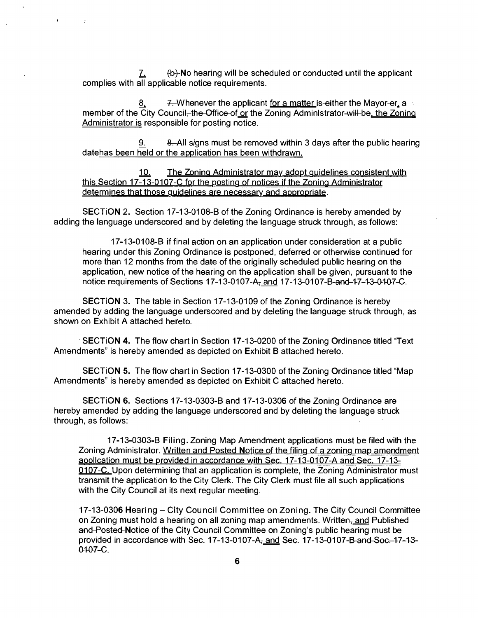$\underline{7}$ . (b)-No hearing will be scheduled or conducted until the applicant complies with all applicable notice requirements.

 $\overline{1}$ 

7. Whenever the applicant for a matter is-either the Mayor-er, a member of the City Council–the-Office-of or the Zoning Administrator-will-be, the Zoning Administrator is responsible for posting notice.

8. All signs must be removed within 3 days after the public hearing 9. datehas been held or the application has been withdrawn.

10. The Zoning Administrator may adopt guidelines consistent with this Section 17-13-0107-C for the posting of notices if the Zoning Administrator determines that those guidelines are necessary and appropriate.

SECTION 2. Section 17-13-0108-B of the Zoning Ordinance is hereby amended by adding the language underscored and by deleting the language struck through, as follows:

17-13-0108-B If final action on an application under consideration at a public hearing under this Zoning Ordinance is postponed, deferred or otherwise continued for more than 12 months from the date of the originally scheduled public hearing on the application, new notice of the hearing on the application shall be given, pursuant to the notice requirements of Sections 17-13-0107-A<sub>7</sub> and 17-13-0107-B-and 17-13-0107-C.

SECTION 3. The table in Section 17-13-0109 of the Zoning Ordinance is hereby amended by adding the language underscored and by deleting the language struck through, as shown on Exhibit A attached hereto.

SECTION 4. The flow chart in Section 17-13-0200 of the Zoning Ordinance titled "Text" Amendments" Is hereby amended as depicted on Exhibit B attached hereto.

SECTION 5. The flow chart in Section 17-13-0300 of the Zoning Ordinance titled "Map Amendments" is hereby amended as depicted on Exhibit C attached hereto.

SECTION 6. Sections 17-13-0303-B and 17-13-0306 ofthe Zoning Ordinance are hereby amended by adding the language underscored and by deleting the language struck through, as follows:

17-13-0303-B Filing. Zoning Map Amendment applications must be filed with the Zoning Administrator. Written and Posted Notice of the filing of a zoning map amendment aoollcation must be provided in accordance with Sec. 17-13-0107-A and Sec. 17-13- 0107-C. Upon determining that an application is complete, the Zoning Administrator must transmit the application to the City Clerk. The City Clerk must file all such applications with the City Council at its next regular meeting.

17-13-0306 Hearing - City Council Committee on Zoning. The City Council Committee on Zoning must hold a hearing on all zoning map amendments. Written<sub>t</sub> and Published and Posted Notice of the City Council Committee on Zoning's public hearing must be provided in accordance with Sec. 17-13-0107-A<sub>z</sub> and Sec. 17-13-0107-B-and-Soc--17-13-0107-C.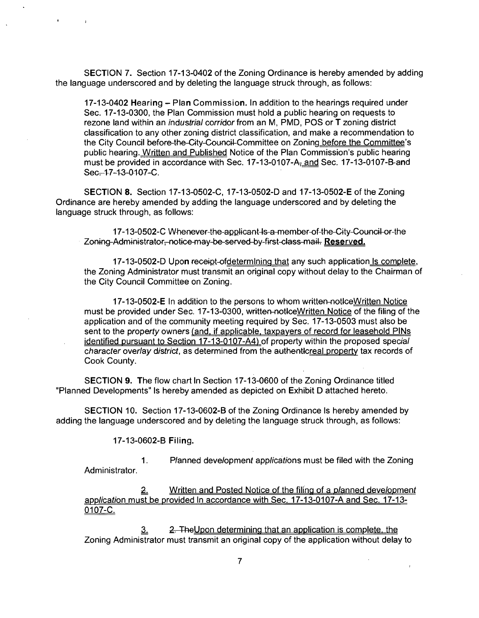SECTION 7. Section 17-13-0402 of the Zoning Ordinance is hereby amended by adding the language underscored and by deleting the language struck through, as follows:

17-13-0402 Hearing - Plan Commission. In addition to the hearings required under Sec. 17-13-0300, the Plan Commission must hold a public hearing on requests to rezone land within an *industrial corridor* from an M, PMD, POS or T zoning district classification to any other zoning district classification, and make a recommendation to the City Council before the City Council Committee on Zoning before the Committee's public hearing. Written and Published Notice of the Plan Commission's public hearing must be provided in accordance with Sec. 17-13-0107-A<sub>z</sub> and Sec. 17-13-0107-B-and Sec-17-13-0107-C.

SECTION 8. Section 17-13-0502-C, 17-13-0502-D and 17-13-0502-E of the Zoning Ordinance are hereby amended by adding the language underscored and by deleting the language struck through, as follows:

**17-13-0502-C Whenever the applicant Is a member of the City Council or the Zoning Administrator, notice may be served by first class mail. Reserved^** 

17-13-0502-D Upon receipt-ofdetermlning that any such application Is complete, the Zoning Administrator must transmit an original copy without delay to the Chairman of the City Council Committee on Zoning.

17-13-0502-E In addition to the persons to whom written-notice Written Notice must be provided under Sec. 17-13-0300, written-notlceWritten Notice of the filing of the application and of the community meeting required by Sec. 17-13-0503 must also be sent to the property owners (and, if applicable, taxpayers of record for leasehold PINs identified pursuant to Section 17-13-0107-A4) of property within the proposed special character overlay district, as determined from the authentlcreal property tax records of Cook County.

SECTION 9. The flow chart In Section 17-13-0600 of the Zoning Ordinance titled "Planned Developments" Is hereby amended as depicted on Exhibit D attached hereto.

SECTION 10. Section 17-13-0602-B of the Zoning Ordinance Is hereby amended by adding the language underscored and by deleting the language struck through, as follows:

**17-13-0602-B Filing.** 

1. Planned development applications must be filed with the Zoning Administrator.

Written and Posted Notice of the filing of a planned development application must be provided In accordance with Sec. 17-13-0107-A and Sec. 17-13- 0107-C.

3. 2. The Upon determining that an application is complete, the Zoning Administrator must transmit an original copy of the application without delay to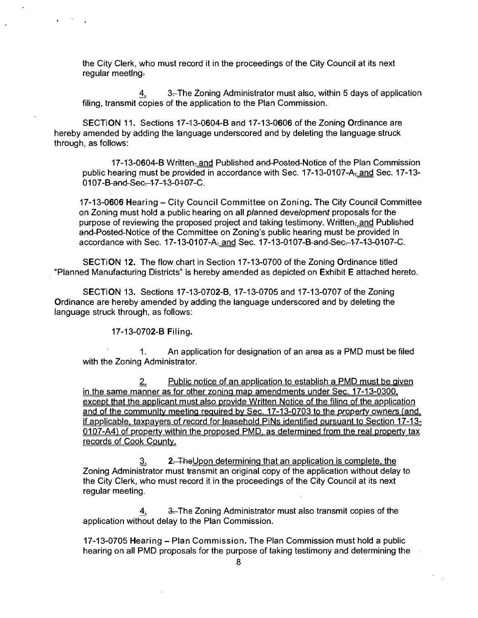the City Clerk, who must record it in the proceedings of the City Council at its next regular meeting-

4. 3. The Zoning Administrator must also, within 5 days of application filing, transmit copies of the application to the Plan Commission.

SECTION 11. Sections 17-13-0604-B and 17-13-0606 ofthe Zoning Ordinance are hereby amended by adding the language underscored and by deleting the language struck through, as follows:

17-13-0604-B Written- and Published and Posted-Notice of the Plan Commission public hearing must be provided in accordance with Sec.  $17-13-0107-A<sub>z</sub>$  and Sec.  $17-13-0107-A<sub>z</sub>$ 0107-B-and-Sec.-17-13-0107-C.

17-13-0606 Hearing - City Council Committee on Zoning. The City Council Committee on Zoning must hold a public hearing on all planned development proposals for the purpose of reviewing the proposed project and taking testimony. Written- and Published and Posted Notice of the Committee on Zoning's public hearing must be provided in accordance with Sec. 17-13-0107-A<sub>r</sub> and Sec. 17-13-0107-B-and-Sec.-17-13-0107-C.

SECTION 12. The flow chart in Section 17-13-0700 of the Zoning Ordinance titled "Planned Manufacturing Districts" is hereby amended as depicted on Exhibit E attached hereto.

SECTION 13. Sections 17-13-0702-B, 17-13-0705 and 17-13-0707 of the Zoning Ordinance are hereby amended by adding the language underscored and by deleting the language struck through, as follows:

**17-13-0702-B Filing.** 

1. An application for designation of an area as a PMD must be filed with the Zoning Administrator.

2. Public notice of an application to establish a PMD must be given in the same manner as for other zoning map amendments under Sec. 17-13-0300, except that the applicant must also provide Written Notice of the filing of the application and of the community meeting required by Sec. 17-13-0703 to the property owners (and, if applicable, taxpayers of record for leasehold PiNs identified oursuant to Section 17-13-0107-A4) of property within the proposed PMD, as determined from the real property tax records of Cook County.

3. 2. The Upon determining that an application is complete, the Zoning Administrator must transmit an original copy of the application without delay to the City Clerk, who must record it in the proceedings of the City Council at its next regular meeting.

4. 3. The Zoning Administrator must also transmit copies of the application without delay to the Plan Commission.

17-13-0705 Hearing - Plan Commission. The Plan Commission must hold a public hearing on all PMD proposals for the purpose of taking testimony and determining the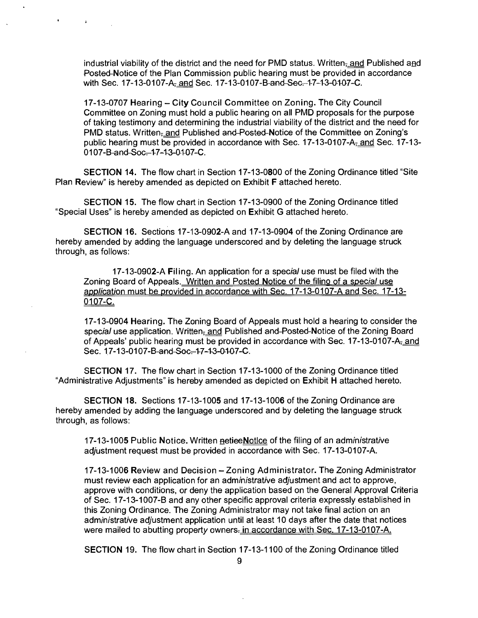industrial viability of the district and the need for PMD status. Written<sub>r</sub> and Published and Posted Notice of the Plan Commission public hearing must be provided in accordance with Sec. 17-13-0107-A<sub>z</sub> and Sec. 17-13-0107-B and Sec. 17-13-0107-C.

 $\mathbf{A}$ 

17-13-0707 Hearing - City Council Committee on Zoning. The City Council Committee on Zoning must hold a public hearing on all PMD proposals for the purpose of taking testimony and determining the industrial viability of the district and the need for PMD status. Written<sub>7</sub> and Published and Posted Notice of the Committee on Zoning's public hearing must be provided in accordance with Sec. 17-13-0107-A<sub>7</sub> and Sec. 17-13-0107-B-and-Soc--17-13-0107-C.

SECTION 14. The flow chart in Section 17-13-0800 of the Zoning Ordinance titled "Site Plan Review" is hereby amended as depicted on Exhibit F attached hereto.

SECTION 15. The flow chart in Section 17-13-0900 of the Zoning Ordinance titled "Special Uses" is hereby amended as depicted on Exhibit G attached hereto.

SECTION 16. Sections 17-13-0902-A and 17-13-0904 ofthe Zoning Ordinance are hereby amended by adding the language underscored and by deleting the language struck through, as follows:

17-13-0902-A Filing. An application for a special use must be filed with the Zoning Board of Appeals. Written and Posted Notice of the filing of a special use application must be provided in accordance with Sec. 17-13-0107-A and Sec. 17-13-0107-C.

17-13-0904 Hearing. The Zoning Board of Appeals must hold a hearing to consider the special use application. Written<sub>z</sub> and Published and-Posted-Notice of the Zoning Board of Appeals' public hearing must be provided in accordance with Sec. 17-13-0107-A $_{7.}$ and Sec. 17-13-0107-B-and-Soc--17-13-0107-C.

SECTION 17. The flow chart in Section 17-13-1000 of the Zoning Ordinance titled "Administrative Adjustments" is hereby amended as depicted on Exhibit H attached hereto.

SECTION 18. Sections 17-13-1005 and 17-13-1006 ofthe Zoning Ordinance are hereby amended by adding the language underscored and by deleting the language struck through, as follows:

17-13-1005 Public Notice. Written netieeNotlce of the filing of an administrative adjustment request must be provided in accordance with Sec. 17-13-0107-A.

17-13-1006 Review and Decision - Zoning Administrator. The Zoning Administrator must review each application for an administrative adjustment and act to approve, approve with conditions, or deny the application based on the General Approval Criteria of Sec. 17-13-1007-B and any other specific approval criteria expressly established in this Zoning Ordinance. The Zoning Administrator may not take final action on an administrative adjustment application until at least 10 days after the date that notices were mailed to abutting property owners- in accordance with Sec. 17-13-0107-A.

SECTION 19. The flow chart in Section 17-13-1100 ofthe Zoning Ordinance titled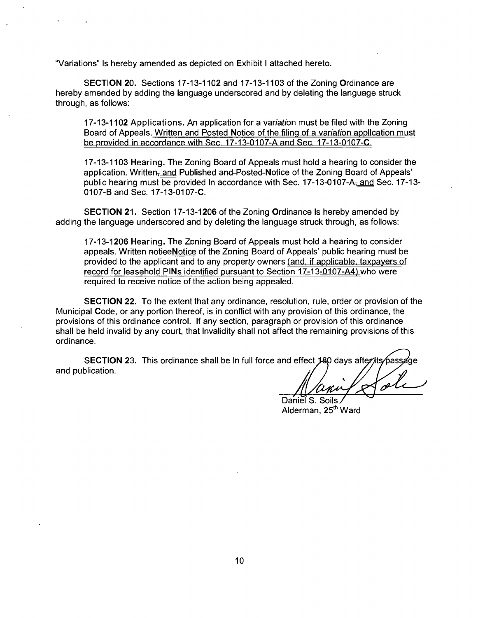"Variations" Is hereby amended as depicted on Exhibit I attached hereto.

SECTION 20. Sections 17-13-1102 and 17-13-1103 of the Zoning Ordinance are hereby amended by adding the language underscored and by deleting the language struck through, as follows:

17-13-1102 Applications. An application for a variation must be filed with the Zoning Board of Appeals. Written and Posted Notice of the filing of a variation application must be provided in accordance with Sec. 17-13-0107-A and Sec. 17-13-0107-C.

17-13-1103 Hearing. The Zoning Board of Appeals must hold a hearing to consider the application. Written<sub>z</sub> and Published and Posted-Notice of the Zoning Board of Appeals' public hearing must be provided In accordance with Sec.  $17-13-0107-A<sub>T</sub>$  and Sec.  $17-13-0107$ 0107-B-and-Sec--17-13-0107-C.

SECTION 21. Section 17-13-1206 of the Zoning Ordinance Is hereby amended by adding the language underscored and by deleting the language struck through, as follows:

17-13-1206 Hearing. The Zoning Board of Appeals must hold a hearing to consider appeals. Written notieeNotice of the Zoning Board of Appeals' public hearing must be provided to the applicant and to any property owners (and, if applicable, taxpayers of record for leasehold PINs identified pursuant to Section 17-13-0107-A4) who were required to receive notice of the action being appealed.

SECTION 22. To the extent that any ordinance, resolution, rule, order or provision of the Municipal Code, or any portion thereof, is in conflict with any provision of this ordinance, the provisions of this ordinance control. If any section, paragraph or provision of this ordinance shall be held invalid by any court, that Invalidity shall not affect the remaining provisions of this ordinance.

SECTION 23. This ordinance shall be In full force and effect 180 days after ts passage and publication.

Daniel S. Soils Alderman, 25<sup>th</sup> Ward